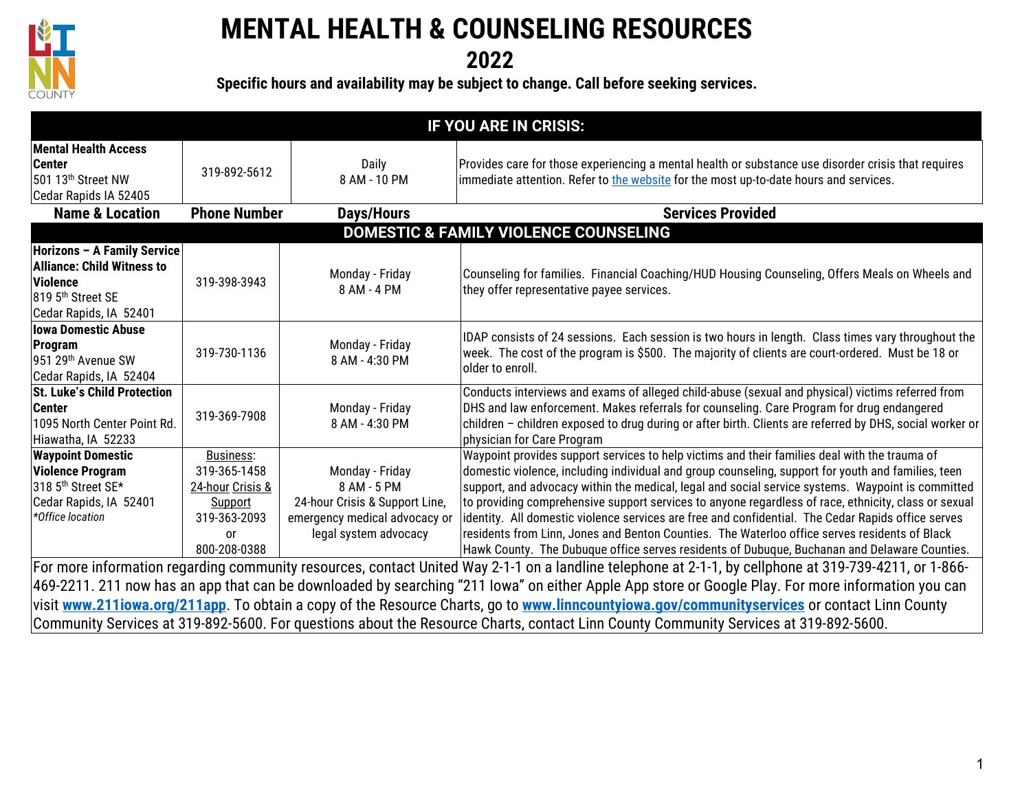

## **MENTAL HEALTH & COUNSELING RESOURCES**

**2022**

**Specific hours and availability may be subject to change. Call before seeking services.**

| IF YOU ARE IN CRISIS:                                                                                                                                                                                                                                                                                        |                                                                                                              |                                                                                                                            |                                                                                                                                                                                                                                                                                                                                                                                                                                                                                                                                                                                                                                                                                                                         |
|--------------------------------------------------------------------------------------------------------------------------------------------------------------------------------------------------------------------------------------------------------------------------------------------------------------|--------------------------------------------------------------------------------------------------------------|----------------------------------------------------------------------------------------------------------------------------|-------------------------------------------------------------------------------------------------------------------------------------------------------------------------------------------------------------------------------------------------------------------------------------------------------------------------------------------------------------------------------------------------------------------------------------------------------------------------------------------------------------------------------------------------------------------------------------------------------------------------------------------------------------------------------------------------------------------------|
| <b>Mental Health Access</b><br><b>Center</b><br>501 13th Street NW<br>Cedar Rapids IA 52405                                                                                                                                                                                                                  | 319-892-5612                                                                                                 | Daily<br>8 AM - 10 PM                                                                                                      | Provides care for those experiencing a mental health or substance use disorder crisis that requires<br>immediate attention. Refer to the website for the most up-to-date hours and services.                                                                                                                                                                                                                                                                                                                                                                                                                                                                                                                            |
| <b>Name &amp; Location</b>                                                                                                                                                                                                                                                                                   | <b>Phone Number</b>                                                                                          | Days/Hours                                                                                                                 | <b>Services Provided</b>                                                                                                                                                                                                                                                                                                                                                                                                                                                                                                                                                                                                                                                                                                |
|                                                                                                                                                                                                                                                                                                              |                                                                                                              |                                                                                                                            | <b>DOMESTIC &amp; FAMILY VIOLENCE COUNSELING</b>                                                                                                                                                                                                                                                                                                                                                                                                                                                                                                                                                                                                                                                                        |
| Horizons - A Family Service<br><b>Alliance: Child Witness to</b><br><b>Violence</b><br>819 5 <sup>th</sup> Street SE<br>Cedar Rapids, IA 52401                                                                                                                                                               | 319-398-3943                                                                                                 | Monday - Friday<br>8 AM - 4 PM                                                                                             | Counseling for families. Financial Coaching/HUD Housing Counseling, Offers Meals on Wheels and<br>they offer representative payee services.                                                                                                                                                                                                                                                                                                                                                                                                                                                                                                                                                                             |
| <b>Iowa Domestic Abuse</b><br>Program<br>951 29th Avenue SW<br>Cedar Rapids, IA 52404                                                                                                                                                                                                                        | 319-730-1136                                                                                                 | Monday - Friday<br>8 AM - 4:30 PM                                                                                          | IDAP consists of 24 sessions. Each session is two hours in length. Class times vary throughout the<br>week. The cost of the program is \$500. The majority of clients are court-ordered. Must be 18 or<br>older to enroll.                                                                                                                                                                                                                                                                                                                                                                                                                                                                                              |
| <b>St. Luke's Child Protection</b><br><b>Center</b><br>1095 North Center Point Rd.<br>Hiawatha, IA 52233                                                                                                                                                                                                     | 319-369-7908                                                                                                 | Monday - Friday<br>8 AM - 4:30 PM                                                                                          | Conducts interviews and exams of alleged child-abuse (sexual and physical) victims referred from<br>DHS and law enforcement. Makes referrals for counseling. Care Program for drug endangered<br>children - children exposed to drug during or after birth. Clients are referred by DHS, social worker or<br>physician for Care Program                                                                                                                                                                                                                                                                                                                                                                                 |
| <b>Waypoint Domestic</b><br><b>Violence Program</b><br>318 5th Street SE*<br>Cedar Rapids, IA 52401<br>*Office location                                                                                                                                                                                      | <b>Business:</b><br>319-365-1458<br>24-hour Crisis &<br>Support<br>319-363-2093<br><b>or</b><br>800-208-0388 | Monday - Friday<br>8 AM - 5 PM<br>24-hour Crisis & Support Line,<br>emergency medical advocacy or<br>legal system advocacy | Waypoint provides support services to help victims and their families deal with the trauma of<br>domestic violence, including individual and group counseling, support for youth and families, teen<br>support, and advocacy within the medical, legal and social service systems. Waypoint is committed<br>to providing comprehensive support services to anyone regardless of race, ethnicity, class or sexual<br>identity. All domestic violence services are free and confidential. The Cedar Rapids office serves<br>residents from Linn, Jones and Benton Counties. The Waterloo office serves residents of Black<br>Hawk County. The Dubuque office serves residents of Dubuque, Buchanan and Delaware Counties. |
| For more information regarding community resources, contact United Way 2-1-1 on a landline telephone at 2-1-1, by cellphone at 319-739-4211, or 1-866-<br>469-2211. 211 now has an app that can be downloaded by searching "211 Iowa" on either Apple App store or Google Play. For more information you can |                                                                                                              |                                                                                                                            |                                                                                                                                                                                                                                                                                                                                                                                                                                                                                                                                                                                                                                                                                                                         |
| visit www.211iowa.org/211app. To obtain a copy of the Resource Charts, go to www.linncountyiowa.gov/communityservices or contact Linn County<br>Community Services at 319-892-5600. For questions about the Resource Charts, contact Linn County Community Services at 319-892-5600.                         |                                                                                                              |                                                                                                                            |                                                                                                                                                                                                                                                                                                                                                                                                                                                                                                                                                                                                                                                                                                                         |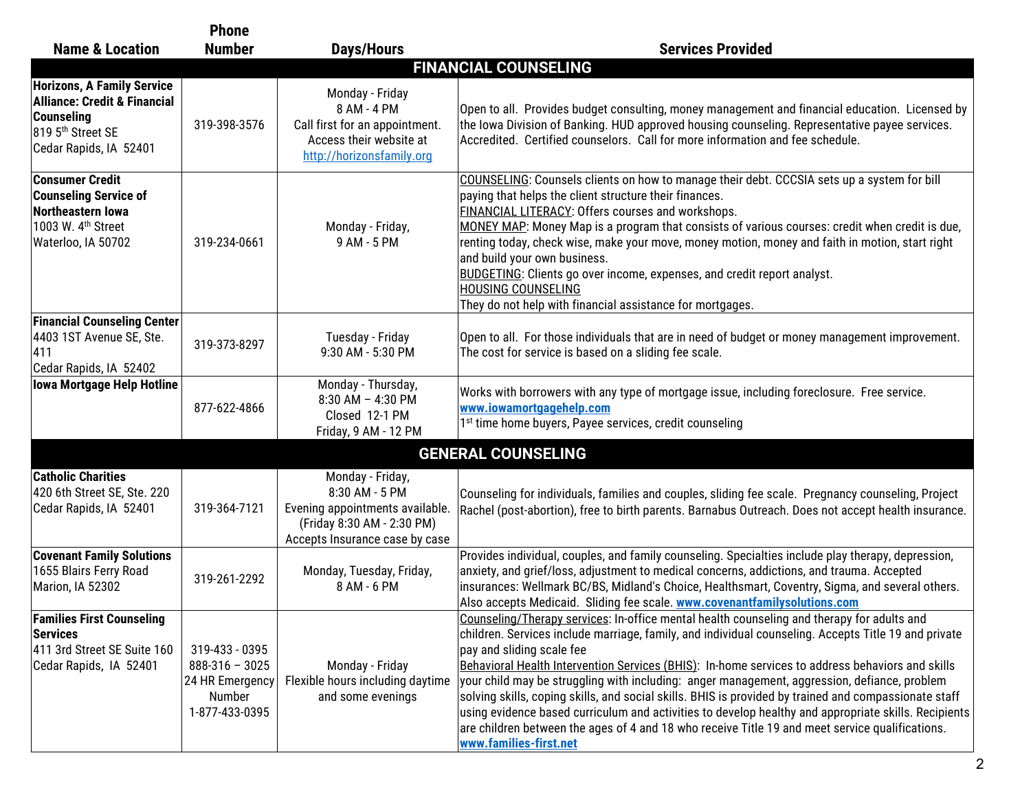|                                                                                                                                                              | <b>Phone</b>                                                                      |                                                                                                                                       |                                                                                                                                                                                                                                                                                                                                                                                                                                                                                                                                                                                                                                                                                                                                                                                   |
|--------------------------------------------------------------------------------------------------------------------------------------------------------------|-----------------------------------------------------------------------------------|---------------------------------------------------------------------------------------------------------------------------------------|-----------------------------------------------------------------------------------------------------------------------------------------------------------------------------------------------------------------------------------------------------------------------------------------------------------------------------------------------------------------------------------------------------------------------------------------------------------------------------------------------------------------------------------------------------------------------------------------------------------------------------------------------------------------------------------------------------------------------------------------------------------------------------------|
| <b>Name &amp; Location</b>                                                                                                                                   | <b>Number</b>                                                                     | <b>Days/Hours</b>                                                                                                                     | <b>Services Provided</b>                                                                                                                                                                                                                                                                                                                                                                                                                                                                                                                                                                                                                                                                                                                                                          |
|                                                                                                                                                              |                                                                                   |                                                                                                                                       | <b>FINANCIAL COUNSELING</b>                                                                                                                                                                                                                                                                                                                                                                                                                                                                                                                                                                                                                                                                                                                                                       |
| <b>Horizons, A Family Service</b><br><b>Alliance: Credit &amp; Financial</b><br><b>Counseling</b><br>819 5 <sup>th</sup> Street SE<br>Cedar Rapids, IA 52401 | 319-398-3576                                                                      | Monday - Friday<br>8 AM - 4 PM<br>Call first for an appointment.<br>Access their website at<br>http://horizonsfamily.org              | Open to all. Provides budget consulting, money management and financial education. Licensed by<br>the lowa Division of Banking. HUD approved housing counseling. Representative payee services.<br>Accredited. Certified counselors. Call for more information and fee schedule.                                                                                                                                                                                                                                                                                                                                                                                                                                                                                                  |
| <b>Consumer Credit</b><br><b>Counseling Service of</b><br>Northeastern Iowa<br>1003 W. 4 <sup>th</sup> Street<br>Waterloo, IA 50702                          | 319-234-0661                                                                      | Monday - Friday,<br>9 AM - 5 PM                                                                                                       | COUNSELING: Counsels clients on how to manage their debt. CCCSIA sets up a system for bill<br>paying that helps the client structure their finances.<br>FINANCIAL LITERACY: Offers courses and workshops.<br>MONEY MAP: Money Map is a program that consists of various courses: credit when credit is due,<br>renting today, check wise, make your move, money motion, money and faith in motion, start right<br>and build your own business.<br><b>BUDGETING:</b> Clients go over income, expenses, and credit report analyst.<br><b>HOUSING COUNSELING</b><br>They do not help with financial assistance for mortgages.                                                                                                                                                        |
| <b>Financial Counseling Center</b><br>4403 1ST Avenue SE, Ste.<br>411<br>Cedar Rapids, IA 52402                                                              | 319-373-8297                                                                      | Tuesday - Friday<br>9:30 AM - 5:30 PM                                                                                                 | Open to all. For those individuals that are in need of budget or money management improvement.<br>The cost for service is based on a sliding fee scale.                                                                                                                                                                                                                                                                                                                                                                                                                                                                                                                                                                                                                           |
| <b>Iowa Mortgage Help Hotline</b>                                                                                                                            | 877-622-4866                                                                      | Monday - Thursday,<br>$8:30$ AM - 4:30 PM<br>Closed 12-1 PM<br>Friday, 9 AM - 12 PM                                                   | Works with borrowers with any type of mortgage issue, including foreclosure. Free service.<br>www.iowamortgagehelp.com<br>1 <sup>st</sup> time home buyers, Payee services, credit counseling                                                                                                                                                                                                                                                                                                                                                                                                                                                                                                                                                                                     |
|                                                                                                                                                              |                                                                                   |                                                                                                                                       | <b>GENERAL COUNSELING</b>                                                                                                                                                                                                                                                                                                                                                                                                                                                                                                                                                                                                                                                                                                                                                         |
| <b>Catholic Charities</b><br>420 6th Street SE, Ste. 220<br>Cedar Rapids, IA 52401                                                                           | 319-364-7121                                                                      | Monday - Friday,<br>8:30 AM - 5 PM<br>Evening appointments available.<br>(Friday 8:30 AM - 2:30 PM)<br>Accepts Insurance case by case | Counseling for individuals, families and couples, sliding fee scale. Pregnancy counseling, Project<br>Rachel (post-abortion), free to birth parents. Barnabus Outreach. Does not accept health insurance.                                                                                                                                                                                                                                                                                                                                                                                                                                                                                                                                                                         |
| <b>Covenant Family Solutions</b><br>1655 Blairs Ferry Road<br>Marion, IA 52302                                                                               | 319-261-2292                                                                      | Monday, Tuesday, Friday,<br>8 AM - 6 PM                                                                                               | Provides individual, couples, and family counseling. Specialties include play therapy, depression,<br>anxiety, and grief/loss, adjustment to medical concerns, addictions, and trauma. Accepted<br>insurances: Wellmark BC/BS, Midland's Choice, Healthsmart, Coventry, Sigma, and several others.<br>Also accepts Medicaid. Sliding fee scale. www.covenantfamilysolutions.com                                                                                                                                                                                                                                                                                                                                                                                                   |
| <b>Families First Counseling</b><br><b>Services</b><br>411 3rd Street SE Suite 160<br>Cedar Rapids, IA 52401                                                 | 319-433 - 0395<br>$888-316 - 3025$<br>24 HR Emergency<br>Number<br>1-877-433-0395 | Monday - Friday<br>Flexible hours including daytime<br>and some evenings                                                              | Counseling/Therapy services: In-office mental health counseling and therapy for adults and<br>children. Services include marriage, family, and individual counseling. Accepts Title 19 and private<br>pay and sliding scale fee<br>Behavioral Health Intervention Services (BHIS): In-home services to address behaviors and skills<br>your child may be struggling with including: anger management, aggression, defiance, problem<br>solving skills, coping skills, and social skills. BHIS is provided by trained and compassionate staff<br>using evidence based curriculum and activities to develop healthy and appropriate skills. Recipients<br>are children between the ages of 4 and 18 who receive Title 19 and meet service qualifications.<br>www.families-first.net |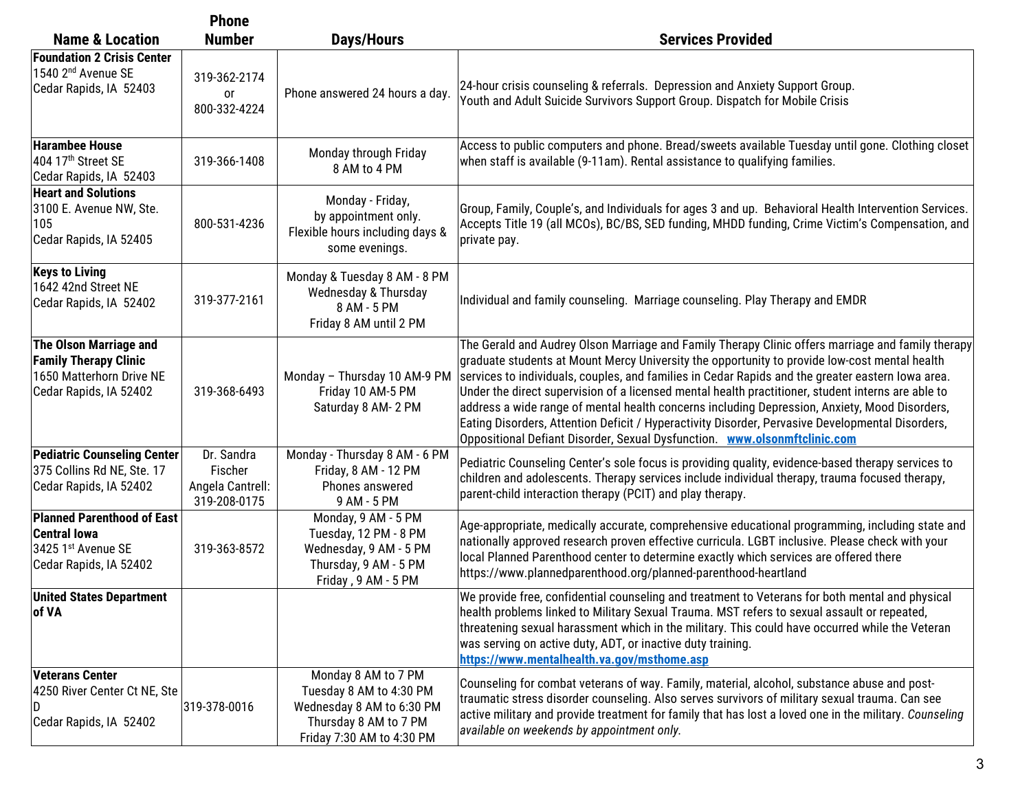|                                                                                                                     | <b>Phone</b>                                              |                                                                                                                                   |                                                                                                                                                                                                                                                                                                                                                                                                                                                                                                                                                                                                                                                                                                 |
|---------------------------------------------------------------------------------------------------------------------|-----------------------------------------------------------|-----------------------------------------------------------------------------------------------------------------------------------|-------------------------------------------------------------------------------------------------------------------------------------------------------------------------------------------------------------------------------------------------------------------------------------------------------------------------------------------------------------------------------------------------------------------------------------------------------------------------------------------------------------------------------------------------------------------------------------------------------------------------------------------------------------------------------------------------|
| <b>Name &amp; Location</b>                                                                                          | <b>Number</b>                                             | <b>Days/Hours</b>                                                                                                                 | <b>Services Provided</b>                                                                                                                                                                                                                                                                                                                                                                                                                                                                                                                                                                                                                                                                        |
| <b>Foundation 2 Crisis Center</b><br>1540 2 <sup>nd</sup> Avenue SE<br>Cedar Rapids, IA 52403                       | 319-362-2174<br>or<br>800-332-4224                        | Phone answered 24 hours a day.                                                                                                    | 24-hour crisis counseling & referrals. Depression and Anxiety Support Group.<br>Youth and Adult Suicide Survivors Support Group. Dispatch for Mobile Crisis                                                                                                                                                                                                                                                                                                                                                                                                                                                                                                                                     |
| <b>Harambee House</b><br>404 17 <sup>th</sup> Street SE<br>Cedar Rapids, IA 52403                                   | 319-366-1408                                              | Monday through Friday<br>8 AM to 4 PM                                                                                             | Access to public computers and phone. Bread/sweets available Tuesday until gone. Clothing closet<br>when staff is available (9-11am). Rental assistance to qualifying families.                                                                                                                                                                                                                                                                                                                                                                                                                                                                                                                 |
| <b>Heart and Solutions</b><br>3100 E. Avenue NW, Ste.<br>105<br>Cedar Rapids, IA 52405                              | 800-531-4236                                              | Monday - Friday,<br>by appointment only.<br>Flexible hours including days &<br>some evenings.                                     | Group, Family, Couple's, and Individuals for ages 3 and up. Behavioral Health Intervention Services.<br>Accepts Title 19 (all MCOs), BC/BS, SED funding, MHDD funding, Crime Victim's Compensation, and<br>private pay.                                                                                                                                                                                                                                                                                                                                                                                                                                                                         |
| <b>Keys to Living</b><br>1642 42nd Street NE<br>Cedar Rapids, IA 52402                                              | 319-377-2161                                              | Monday & Tuesday 8 AM - 8 PM<br><b>Wednesday &amp; Thursday</b><br>8 AM - 5 PM<br>Friday 8 AM until 2 PM                          | Individual and family counseling. Marriage counseling. Play Therapy and EMDR                                                                                                                                                                                                                                                                                                                                                                                                                                                                                                                                                                                                                    |
| <b>The Olson Marriage and</b><br><b>Family Therapy Clinic</b><br>1650 Matterhorn Drive NE<br>Cedar Rapids, IA 52402 | 319-368-6493                                              | Monday - Thursday 10 AM-9 PM<br>Friday 10 AM-5 PM<br>Saturday 8 AM- 2 PM                                                          | The Gerald and Audrey Olson Marriage and Family Therapy Clinic offers marriage and family therapy<br>graduate students at Mount Mercy University the opportunity to provide low-cost mental health<br>services to individuals, couples, and families in Cedar Rapids and the greater eastern lowa area.<br>Under the direct supervision of a licensed mental health practitioner, student interns are able to<br>address a wide range of mental health concerns including Depression, Anxiety, Mood Disorders,<br>Eating Disorders, Attention Deficit / Hyperactivity Disorder, Pervasive Developmental Disorders,<br>Oppositional Defiant Disorder, Sexual Dysfunction. www.olsonmftclinic.com |
| <b>Pediatric Counseling Center</b><br>375 Collins Rd NE, Ste. 17<br>Cedar Rapids, IA 52402                          | Dr. Sandra<br>Fischer<br>Angela Cantrell:<br>319-208-0175 | Monday - Thursday 8 AM - 6 PM<br>Friday, 8 AM - 12 PM<br>Phones answered<br>9 AM - 5 PM                                           | Pediatric Counseling Center's sole focus is providing quality, evidence-based therapy services to<br>children and adolescents. Therapy services include individual therapy, trauma focused therapy,<br>parent-child interaction therapy (PCIT) and play therapy.                                                                                                                                                                                                                                                                                                                                                                                                                                |
| Planned Parenthood of East<br><b>Central lowa</b><br>3425 1st Avenue SE<br>Cedar Rapids, IA 52402                   | 319-363-8572                                              | Monday, 9 AM - 5 PM<br>Tuesday, 12 PM - 8 PM<br>Wednesday, 9 AM - 5 PM<br>Thursday, 9 AM - 5 PM<br>Friday, 9 AM - 5 PM            | Age-appropriate, medically accurate, comprehensive educational programming, including state and<br>nationally approved research proven effective curricula. LGBT inclusive. Please check with your<br>local Planned Parenthood center to determine exactly which services are offered there<br>https://www.plannedparenthood.org/planned-parenthood-heartland                                                                                                                                                                                                                                                                                                                                   |
| <b>United States Department</b><br>of VA                                                                            |                                                           |                                                                                                                                   | We provide free, confidential counseling and treatment to Veterans for both mental and physical<br>health problems linked to Military Sexual Trauma. MST refers to sexual assault or repeated,<br>threatening sexual harassment which in the military. This could have occurred while the Veteran<br>was serving on active duty, ADT, or inactive duty training.<br>https://www.mentalhealth.va.gov/msthome.asp                                                                                                                                                                                                                                                                                 |
| <b>Veterans Center</b><br>4250 River Center Ct NE, Ste<br>D<br>Cedar Rapids, IA 52402                               | 319-378-0016                                              | Monday 8 AM to 7 PM<br>Tuesday 8 AM to 4:30 PM<br>Wednesday 8 AM to 6:30 PM<br>Thursday 8 AM to 7 PM<br>Friday 7:30 AM to 4:30 PM | Counseling for combat veterans of way. Family, material, alcohol, substance abuse and post-<br>traumatic stress disorder counseling. Also serves survivors of military sexual trauma. Can see<br>active military and provide treatment for family that has lost a loved one in the military. Counseling<br>available on weekends by appointment only.                                                                                                                                                                                                                                                                                                                                           |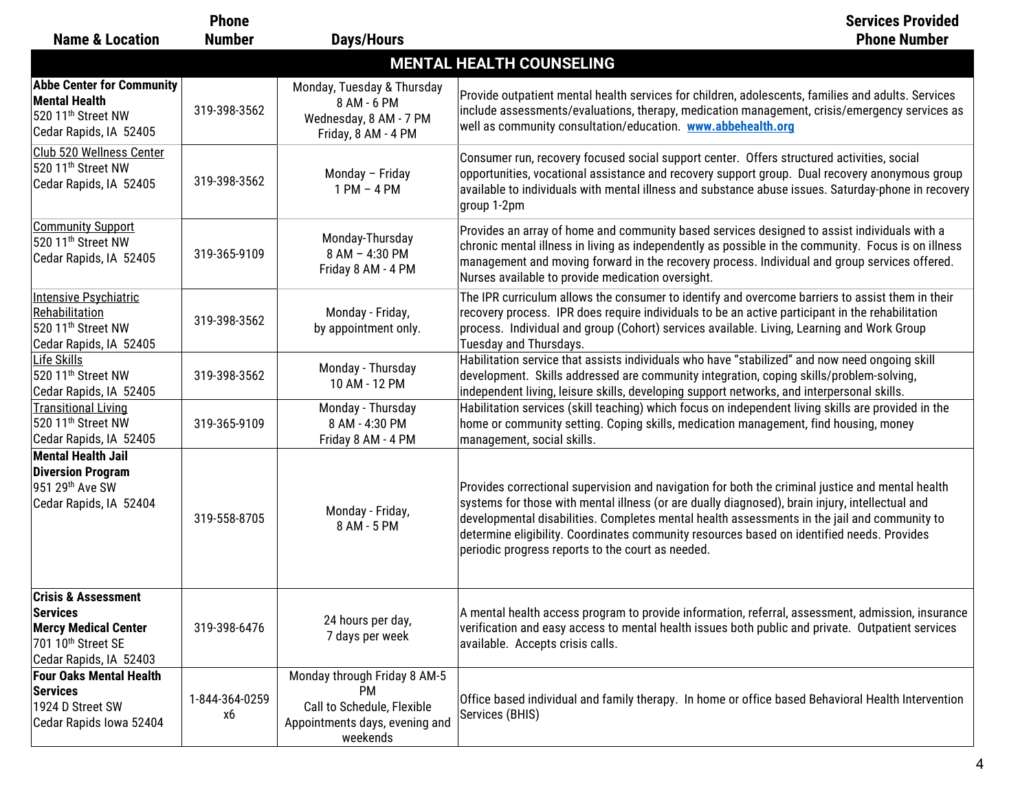|                                                                                                                                              | <b>Phone</b>         |                                                                                                                | <b>Services Provided</b>                                                                                                                                                                                                                                                                                                                                                                                                                               |
|----------------------------------------------------------------------------------------------------------------------------------------------|----------------------|----------------------------------------------------------------------------------------------------------------|--------------------------------------------------------------------------------------------------------------------------------------------------------------------------------------------------------------------------------------------------------------------------------------------------------------------------------------------------------------------------------------------------------------------------------------------------------|
| <b>Name &amp; Location</b>                                                                                                                   | <b>Number</b>        | <b>Days/Hours</b>                                                                                              | <b>Phone Number</b>                                                                                                                                                                                                                                                                                                                                                                                                                                    |
|                                                                                                                                              |                      |                                                                                                                | <b>MENTAL HEALTH COUNSELING</b>                                                                                                                                                                                                                                                                                                                                                                                                                        |
| <b>Abbe Center for Community</b><br><b>Mental Health</b><br>520 11 <sup>th</sup> Street NW<br>Cedar Rapids, IA 52405                         | 319-398-3562         | Monday, Tuesday & Thursday<br>8 AM - 6 PM<br>Wednesday, 8 AM - 7 PM<br>Friday, 8 AM - 4 PM                     | Provide outpatient mental health services for children, adolescents, families and adults. Services<br>include assessments/evaluations, therapy, medication management, crisis/emergency services as<br>well as community consultation/education. www.abbehealth.org                                                                                                                                                                                    |
| Club 520 Wellness Center<br>520 11th Street NW<br>Cedar Rapids, IA 52405                                                                     | 319-398-3562         | Monday - Friday<br>$1 PM - 4 PM$                                                                               | Consumer run, recovery focused social support center. Offers structured activities, social<br>$ $ opportunities, vocational assistance and recovery support group. Dual recovery anonymous group<br>available to individuals with mental illness and substance abuse issues. Saturday-phone in recovery<br>group 1-2pm                                                                                                                                 |
| <b>Community Support</b><br>520 11th Street NW<br>Cedar Rapids, IA 52405                                                                     | 319-365-9109         | Monday-Thursday<br>8 AM - 4:30 PM<br>Friday 8 AM - 4 PM                                                        | Provides an array of home and community based services designed to assist individuals with a<br>chronic mental illness in living as independently as possible in the community. Focus is on illness<br>management and moving forward in the recovery process. Individual and group services offered.<br>Nurses available to provide medication oversight.                                                                                              |
| Intensive Psychiatric<br>Rehabilitation<br>520 11 <sup>th</sup> Street NW<br>Cedar Rapids, IA 52405                                          | 319-398-3562         | Monday - Friday,<br>by appointment only.                                                                       | The IPR curriculum allows the consumer to identify and overcome barriers to assist them in their<br>recovery process. IPR does require individuals to be an active participant in the rehabilitation<br>process. Individual and group (Cohort) services available. Living, Learning and Work Group<br>Tuesday and Thursdays.                                                                                                                           |
| Life Skills<br>520 11 <sup>th</sup> Street NW<br>Cedar Rapids, IA 52405                                                                      | 319-398-3562         | Monday - Thursday<br>10 AM - 12 PM                                                                             | Habilitation service that assists individuals who have "stabilized" and now need ongoing skill<br>development. Skills addressed are community integration, coping skills/problem-solving,<br>independent living, leisure skills, developing support networks, and interpersonal skills.                                                                                                                                                                |
| <b>Transitional Living</b><br>520 11 <sup>th</sup> Street NW<br>Cedar Rapids, IA 52405                                                       | 319-365-9109         | Monday - Thursday<br>8 AM - 4:30 PM<br>Friday 8 AM - 4 PM                                                      | Habilitation services (skill teaching) which focus on independent living skills are provided in the<br>home or community setting. Coping skills, medication management, find housing, money<br>management, social skills.                                                                                                                                                                                                                              |
| <b>Mental Health Jail</b><br><b>Diversion Program</b><br>951 29th Ave SW<br>Cedar Rapids, IA 52404                                           | 319-558-8705         | Monday - Friday,<br>8 AM - 5 PM                                                                                | Provides correctional supervision and navigation for both the criminal justice and mental health<br>systems for those with mental illness (or are dually diagnosed), brain injury, intellectual and<br>developmental disabilities. Completes mental health assessments in the jail and community to<br>determine eligibility. Coordinates community resources based on identified needs. Provides<br>periodic progress reports to the court as needed. |
| <b>Crisis &amp; Assessment</b><br><b>Services</b><br><b>Mercy Medical Center</b><br>701 10 <sup>th</sup> Street SE<br>Cedar Rapids, IA 52403 | 319-398-6476         | 24 hours per day,<br>7 days per week                                                                           | A mental health access program to provide information, referral, assessment, admission, insurance<br>verification and easy access to mental health issues both public and private. Outpatient services<br>available. Accepts crisis calls.                                                                                                                                                                                                             |
| <b>Four Oaks Mental Health</b><br><b>Services</b><br>1924 D Street SW<br>Cedar Rapids Iowa 52404                                             | 1-844-364-0259<br>х6 | Monday through Friday 8 AM-5<br>PM<br>Call to Schedule, Flexible<br>Appointments days, evening and<br>weekends | Office based individual and family therapy. In home or office based Behavioral Health Intervention<br>Services (BHIS)                                                                                                                                                                                                                                                                                                                                  |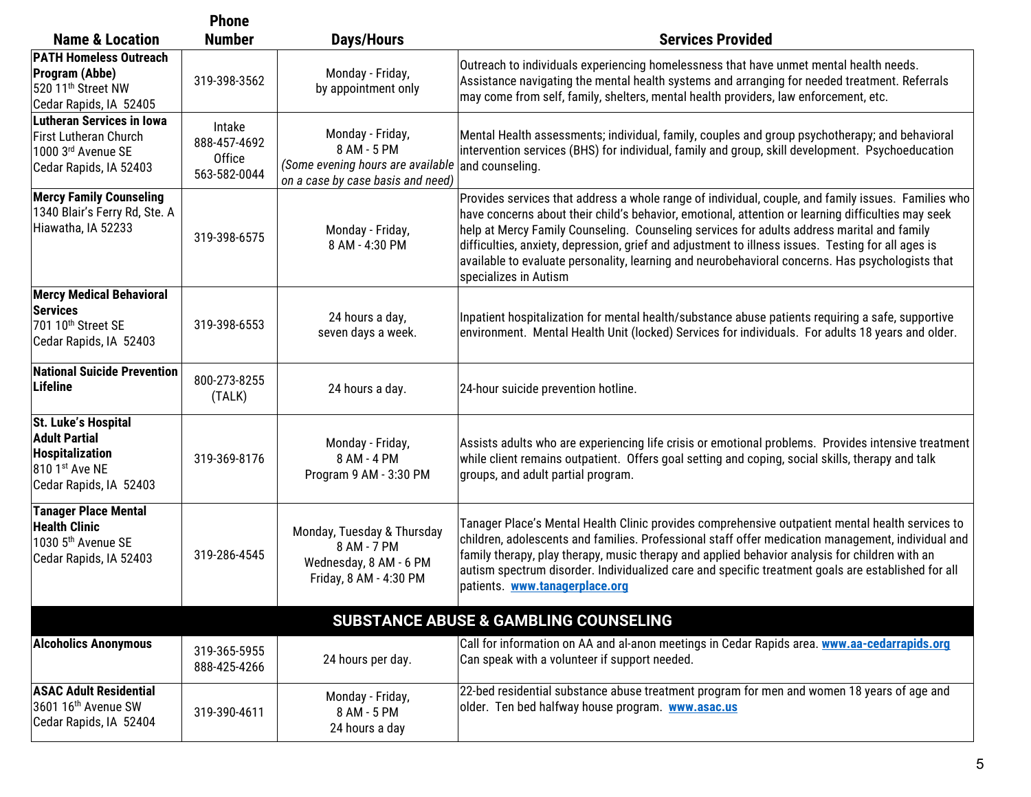|                                                                                                             | <b>Phone</b>                                     |                                                                                                           |                                                                                                                                                                                                                                                                                                                                                                                                                                                                                                                                            |
|-------------------------------------------------------------------------------------------------------------|--------------------------------------------------|-----------------------------------------------------------------------------------------------------------|--------------------------------------------------------------------------------------------------------------------------------------------------------------------------------------------------------------------------------------------------------------------------------------------------------------------------------------------------------------------------------------------------------------------------------------------------------------------------------------------------------------------------------------------|
| <b>Name &amp; Location</b>                                                                                  | <b>Number</b>                                    | <b>Days/Hours</b>                                                                                         | <b>Services Provided</b>                                                                                                                                                                                                                                                                                                                                                                                                                                                                                                                   |
| <b>PATH Homeless Outreach</b><br>Program (Abbe)<br>520 11 <sup>th</sup> Street NW<br>Cedar Rapids, IA 52405 | 319-398-3562                                     | Monday - Friday,<br>by appointment only                                                                   | Outreach to individuals experiencing homelessness that have unmet mental health needs.<br>Assistance navigating the mental health systems and arranging for needed treatment. Referrals<br>$\vert$ may come from self, family, shelters, mental health providers, law enforcement, etc.                                                                                                                                                                                                                                                    |
| Lutheran Services in Iowa<br>First Lutheran Church<br>1000 3rd Avenue SE<br>Cedar Rapids, IA 52403          | Intake<br>888-457-4692<br>Office<br>563-582-0044 | Monday - Friday,<br>8 AM - 5 PM<br>(Some evening hours are available<br>on a case by case basis and need) | Mental Health assessments; individual, family, couples and group psychotherapy; and behavioral<br>intervention services (BHS) for individual, family and group, skill development. Psychoeducation<br>and counseling.                                                                                                                                                                                                                                                                                                                      |
| <b>Mercy Family Counseling</b><br>1340 Blair's Ferry Rd, Ste. A<br>Hiawatha, IA 52233                       | 319-398-6575                                     | Monday - Friday,<br>8 AM - 4:30 PM                                                                        | Provides services that address a whole range of individual, couple, and family issues. Families who<br>have concerns about their child's behavior, emotional, attention or learning difficulties may seek<br>help at Mercy Family Counseling. Counseling services for adults address marital and family<br>difficulties, anxiety, depression, grief and adjustment to illness issues. Testing for all ages is<br>available to evaluate personality, learning and neurobehavioral concerns. Has psychologists that<br>specializes in Autism |
| <b>Mercy Medical Behavioral</b><br><b>Services</b><br>1701 10th Street SE<br>Cedar Rapids, IA 52403         | 319-398-6553                                     | 24 hours a day,<br>seven days a week.                                                                     | Inpatient hospitalization for mental health/substance abuse patients requiring a safe, supportive<br>environment. Mental Health Unit (locked) Services for individuals. For adults 18 years and older.                                                                                                                                                                                                                                                                                                                                     |
| <b>National Suicide Prevention</b><br>Lifeline                                                              | 800-273-8255<br>(TALK)                           | 24 hours a day.                                                                                           | 24-hour suicide prevention hotline.                                                                                                                                                                                                                                                                                                                                                                                                                                                                                                        |
| St. Luke's Hospital<br><b>Adult Partial</b><br>Hospitalization<br>810 1st Ave NE<br>Cedar Rapids, IA 52403  | 319-369-8176                                     | Monday - Friday,<br>8 AM - 4 PM<br>Program 9 AM - 3:30 PM                                                 | Assists adults who are experiencing life crisis or emotional problems. Provides intensive treatment<br>while client remains outpatient. Offers goal setting and coping, social skills, therapy and talk<br>groups, and adult partial program.                                                                                                                                                                                                                                                                                              |
| <b>Tanager Place Mental</b><br><b>Health Clinic</b><br>1030 5th Avenue SE<br>Cedar Rapids, IA 52403         | 319-286-4545                                     | Monday, Tuesday & Thursday<br>8 AM - 7 PM<br>Wednesday, 8 AM - 6 PM<br>Friday, 8 AM - 4:30 PM             | Tanager Place's Mental Health Clinic provides comprehensive outpatient mental health services to<br>children, adolescents and families. Professional staff offer medication management, individual and<br>family therapy, play therapy, music therapy and applied behavior analysis for children with an<br>autism spectrum disorder. Individualized care and specific treatment goals are established for all<br>patients. www.tanagerplace.org                                                                                           |
|                                                                                                             |                                                  |                                                                                                           | <b>SUBSTANCE ABUSE &amp; GAMBLING COUNSELING</b>                                                                                                                                                                                                                                                                                                                                                                                                                                                                                           |
| <b>Alcoholics Anonymous</b>                                                                                 | 319-365-5955<br>888-425-4266                     | 24 hours per day.                                                                                         | Call for information on AA and al-anon meetings in Cedar Rapids area. www.aa-cedarrapids.org<br>Can speak with a volunteer if support needed.                                                                                                                                                                                                                                                                                                                                                                                              |
| <b>ASAC Adult Residential</b><br>3601 16 <sup>th</sup> Avenue SW<br>Cedar Rapids, IA 52404                  | 319-390-4611                                     | Monday - Friday,<br>8 AM - 5 PM<br>24 hours a day                                                         | 22-bed residential substance abuse treatment program for men and women 18 years of age and<br>older. Ten bed halfway house program. <b>www.asac.us</b>                                                                                                                                                                                                                                                                                                                                                                                     |